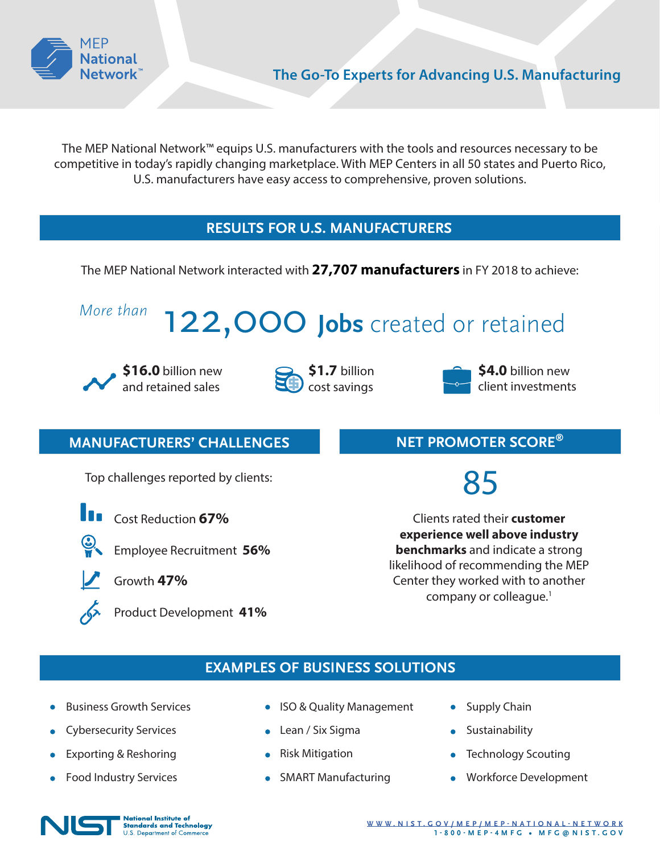

The MEP National Network™ equips U.S. manufacturers with the tools and resources necessary to be competitive in today's rapidly changing marketplace. With MEP Centers in all 50 states and Puerto Rico, U.S. manufacturers have easy access to comprehensive, proven solutions.

# **RESULTS FOR U.S. MANUFACTURERS**

The MEP National Network interacted with **27,707 manufacturers** in FY 2018 to achieve:

# *More than* 122,000 **Jobs** created or retained





**\$1.7** billion cost savings



**\$4.0** billion new client investments

# **MANUFACTURERS' CHALLENGES**

Top challenges reported by clients:



Cost Reduction **67%**



- Employee Recruitment **56%**
	- Growth **47%**

Product Development **41%**

# **NET PROMOTER SCORE®**

85

Clients rated their **customer experience well above industry benchmarks** and indicate a strong likelihood of recommending the MEP Center they worked with to another company or colleague.<sup>1</sup>

# **EXAMPLES OF BUSINESS SOLUTIONS**

- Business Growth Services
- Cybersecurity Services
- Exporting & Reshoring
- Food Industry Services
- ISO & Quality Management
- Lean / Six Sigma
- Risk Mitigation
- SMART Manufacturing
- Supply Chain
- **•** Sustainability
- Technology Scouting
- **•** Workforce Development